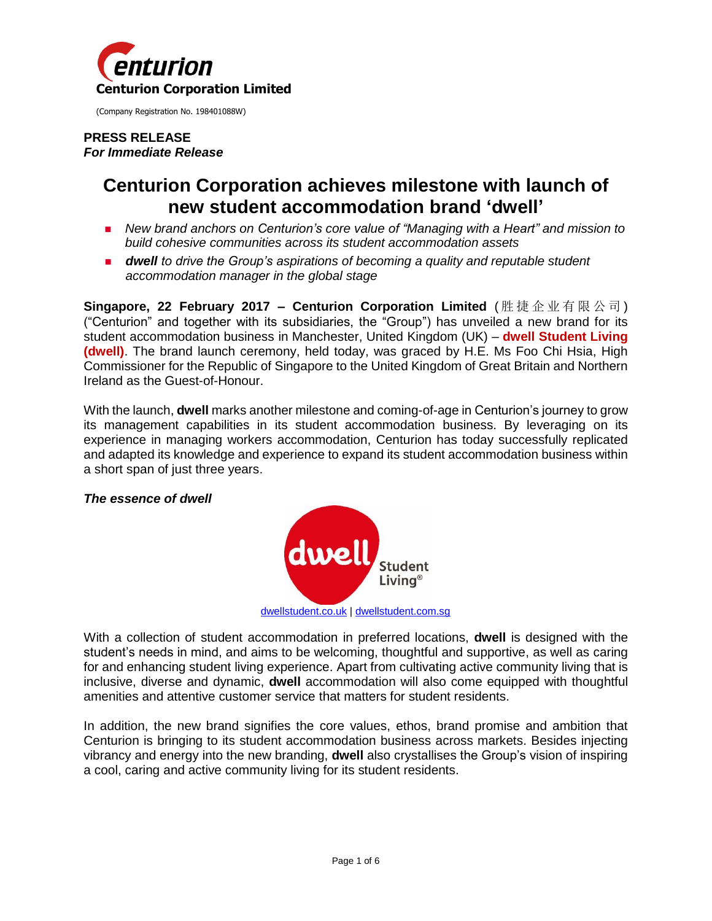

(Company Registration No. 198401088W)

#### **PRESS RELEASE** *For Immediate Release*

# **Centurion Corporation achieves milestone with launch of new student accommodation brand 'dwell'**

- *New brand anchors on Centurion's core value of "Managing with a Heart" and mission to build cohesive communities across its student accommodation assets*
- *dwell to drive the Group's aspirations of becoming a quality and reputable student accommodation manager in the global stage*

**Singapore, 22 February 2017 ‒ Centurion Corporation Limited** ( 胜 捷 企 业 有 限 公 司 ) ("Centurion" and together with its subsidiaries, the "Group") has unveiled a new brand for its student accommodation business in Manchester, United Kingdom (UK) – **dwell Student Living (dwell)**. The brand launch ceremony, held today, was graced by H.E. Ms Foo Chi Hsia, High Commissioner for the Republic of Singapore to the United Kingdom of Great Britain and Northern Ireland as the Guest-of-Honour.

With the launch, **dwell** marks another milestone and coming-of-age in Centurion's journey to grow its management capabilities in its student accommodation business. By leveraging on its experience in managing workers accommodation, Centurion has today successfully replicated and adapted its knowledge and experience to expand its student accommodation business within a short span of just three years.

## *The essence of dwell*



[dwellstudent.co.uk](http://dwellstudent.co.uk/) [| dwellstudent.com.sg](http://www.dwellstudent.com.sg/)

With a collection of student accommodation in preferred locations, **dwell** is designed with the student's needs in mind, and aims to be welcoming, thoughtful and supportive, as well as caring for and enhancing student living experience. Apart from cultivating active community living that is inclusive, diverse and dynamic, **dwell** accommodation will also come equipped with thoughtful amenities and attentive customer service that matters for student residents.

In addition, the new brand signifies the core values, ethos, brand promise and ambition that Centurion is bringing to its student accommodation business across markets. Besides injecting vibrancy and energy into the new branding, **dwell** also crystallises the Group's vision of inspiring a cool, caring and active community living for its student residents.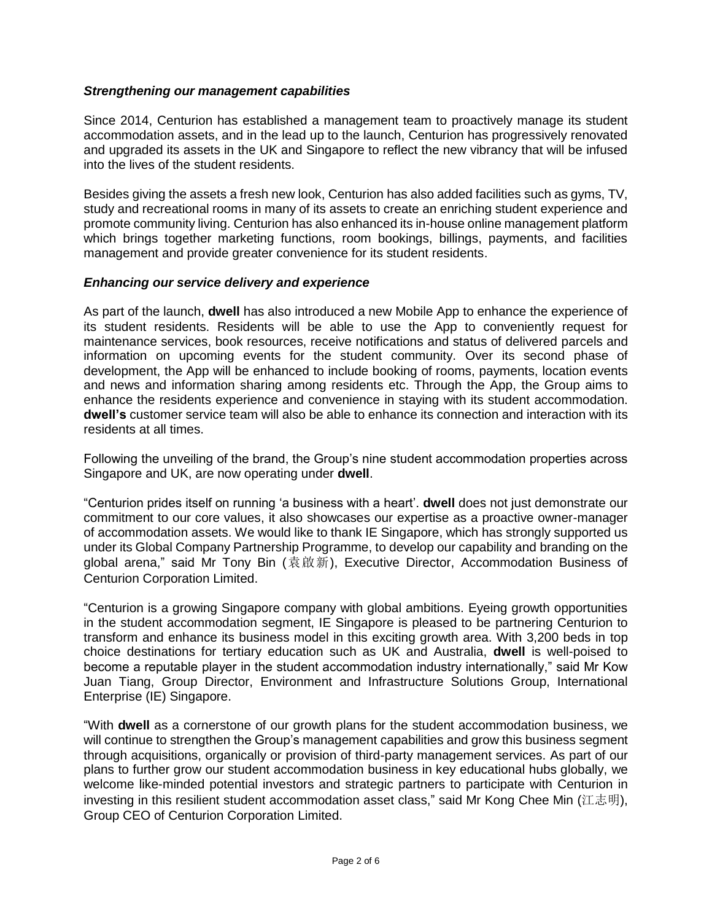## *Strengthening our management capabilities*

Since 2014, Centurion has established a management team to proactively manage its student accommodation assets, and in the lead up to the launch, Centurion has progressively renovated and upgraded its assets in the UK and Singapore to reflect the new vibrancy that will be infused into the lives of the student residents.

Besides giving the assets a fresh new look, Centurion has also added facilities such as gyms, TV, study and recreational rooms in many of its assets to create an enriching student experience and promote community living. Centurion has also enhanced its in-house online management platform which brings together marketing functions, room bookings, billings, payments, and facilities management and provide greater convenience for its student residents.

## *Enhancing our service delivery and experience*

As part of the launch, **dwell** has also introduced a new Mobile App to enhance the experience of its student residents. Residents will be able to use the App to conveniently request for maintenance services, book resources, receive notifications and status of delivered parcels and information on upcoming events for the student community. Over its second phase of development, the App will be enhanced to include booking of rooms, payments, location events and news and information sharing among residents etc. Through the App, the Group aims to enhance the residents experience and convenience in staying with its student accommodation. **dwell's** customer service team will also be able to enhance its connection and interaction with its residents at all times.

Following the unveiling of the brand, the Group's nine student accommodation properties across Singapore and UK, are now operating under **dwell**.

"Centurion prides itself on running 'a business with a heart'. **dwell** does not just demonstrate our commitment to our core values, it also showcases our expertise as a proactive owner-manager of accommodation assets. We would like to thank IE Singapore, which has strongly supported us under its Global Company Partnership Programme, to develop our capability and branding on the global arena," said Mr Tony Bin (袁啟新), Executive Director, Accommodation Business of Centurion Corporation Limited.

"Centurion is a growing Singapore company with global ambitions. Eyeing growth opportunities in the student accommodation segment, IE Singapore is pleased to be partnering Centurion to transform and enhance its business model in this exciting growth area. With 3,200 beds in top choice destinations for tertiary education such as UK and Australia, **dwell** is well-poised to become a reputable player in the student accommodation industry internationally," said Mr Kow Juan Tiang, Group Director, Environment and Infrastructure Solutions Group, International Enterprise (IE) Singapore.

"With **dwell** as a cornerstone of our growth plans for the student accommodation business, we will continue to strengthen the Group's management capabilities and grow this business segment through acquisitions, organically or provision of third-party management services. As part of our plans to further grow our student accommodation business in key educational hubs globally, we welcome like-minded potential investors and strategic partners to participate with Centurion in investing in this resilient student accommodation asset class," said Mr Kong Chee Min (江志明), Group CEO of Centurion Corporation Limited.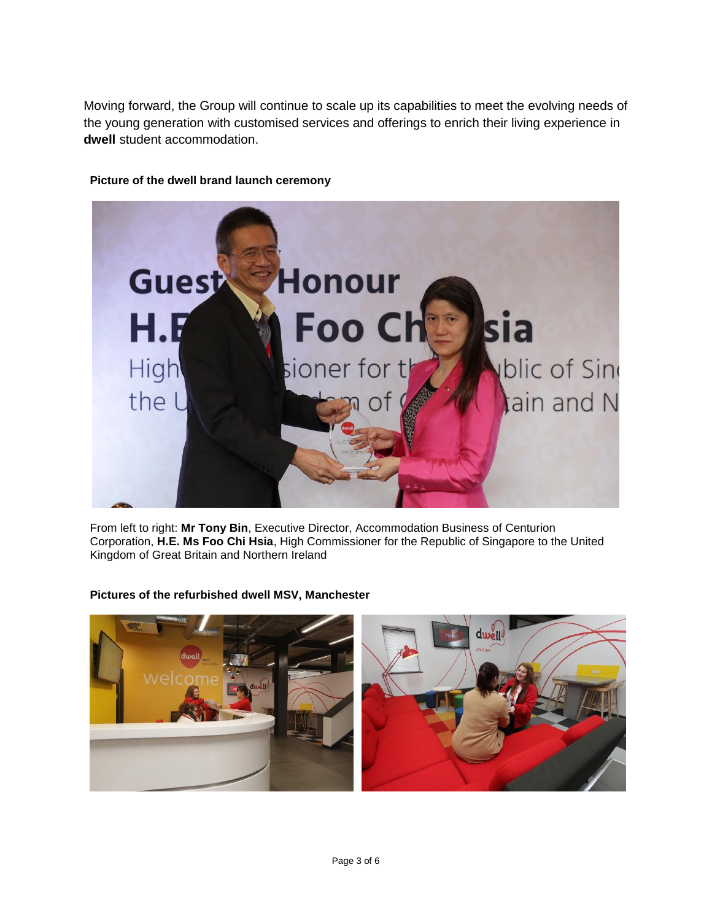Moving forward, the Group will continue to scale up its capabilities to meet the evolving needs of the young generation with customised services and offerings to enrich their living experience in **dwell** student accommodation.



### **Picture of the dwell brand launch ceremony**

From left to right: **Mr Tony Bin**, Executive Director, Accommodation Business of Centurion Corporation, **H.E. Ms Foo Chi Hsia**, High Commissioner for the Republic of Singapore to the United Kingdom of Great Britain and Northern Ireland

## **Pictures of the refurbished dwell MSV, Manchester**

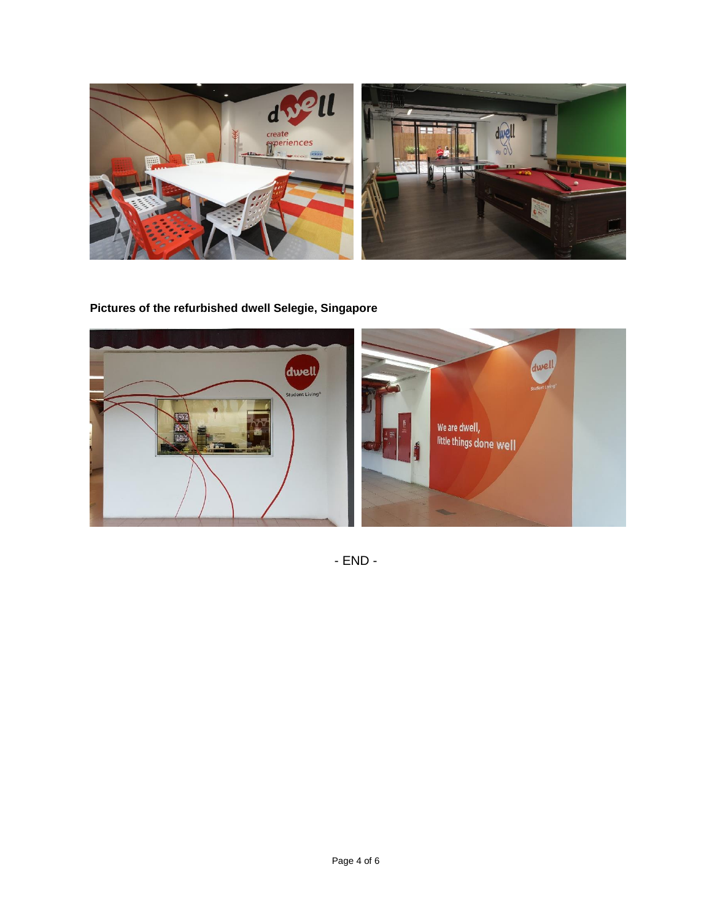

**Pictures of the refurbished dwell Selegie, Singapore**



- END -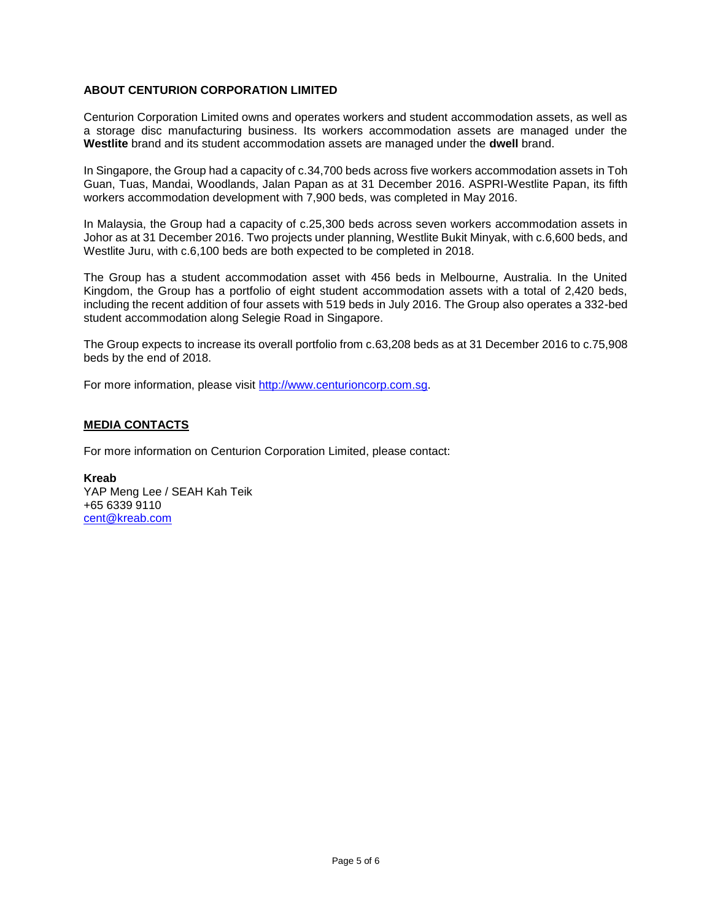### **ABOUT CENTURION CORPORATION LIMITED**

Centurion Corporation Limited owns and operates workers and student accommodation assets, as well as a storage disc manufacturing business. Its workers accommodation assets are managed under the **Westlite** brand and its student accommodation assets are managed under the **dwell** brand.

In Singapore, the Group had a capacity of c.34,700 beds across five workers accommodation assets in Toh Guan, Tuas, Mandai, Woodlands, Jalan Papan as at 31 December 2016. ASPRI-Westlite Papan, its fifth workers accommodation development with 7,900 beds, was completed in May 2016.

In Malaysia, the Group had a capacity of c.25,300 beds across seven workers accommodation assets in Johor as at 31 December 2016. Two projects under planning, Westlite Bukit Minyak, with c.6,600 beds, and Westlite Juru, with c.6,100 beds are both expected to be completed in 2018.

The Group has a student accommodation asset with 456 beds in Melbourne, Australia. In the United Kingdom, the Group has a portfolio of eight student accommodation assets with a total of 2,420 beds, including the recent addition of four assets with 519 beds in July 2016. The Group also operates a 332-bed student accommodation along Selegie Road in Singapore.

The Group expects to increase its overall portfolio from c.63,208 beds as at 31 December 2016 to c.75,908 beds by the end of 2018.

For more information, please visit [http://www.centurioncorp.com.sg.](http://www.centurioncorp.com.sg/)

#### **MEDIA CONTACTS**

For more information on Centurion Corporation Limited, please contact:

**Kreab** YAP Meng Lee / SEAH Kah Teik +65 6339 9110 [cent@kreab.com](mailto:cent@kreab.com)